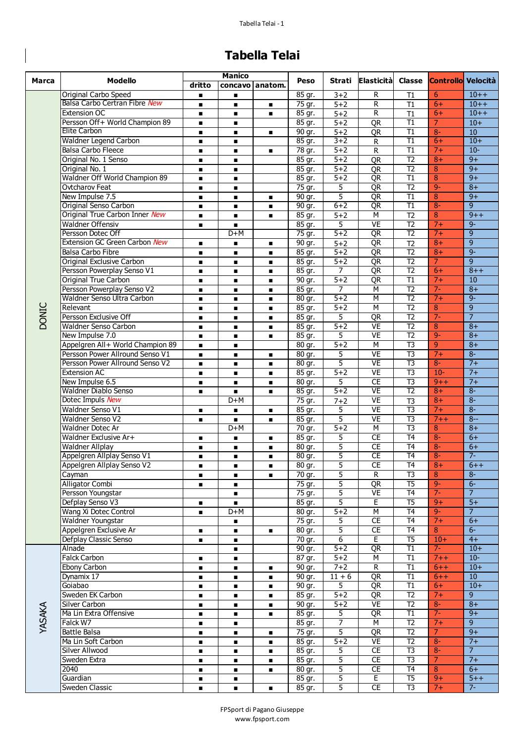## **Tabella Telai**

 $\begin{array}{c} \rule{0pt}{2ex} \rule{0pt}{2ex} \rule{0pt}{2ex} \rule{0pt}{2ex} \rule{0pt}{2ex} \rule{0pt}{2ex} \rule{0pt}{2ex} \rule{0pt}{2ex} \rule{0pt}{2ex} \rule{0pt}{2ex} \rule{0pt}{2ex} \rule{0pt}{2ex} \rule{0pt}{2ex} \rule{0pt}{2ex} \rule{0pt}{2ex} \rule{0pt}{2ex} \rule{0pt}{2ex} \rule{0pt}{2ex} \rule{0pt}{2ex} \rule{0pt}{2ex} \rule{0pt}{2ex} \rule{0pt}{2ex} \rule{0pt}{2ex} \rule{0pt}{$ 

| Marca        | <b>Modello</b>                   | <b>Manico</b>  |                |                   |                      |                |                         |                 |                |                           |
|--------------|----------------------------------|----------------|----------------|-------------------|----------------------|----------------|-------------------------|-----------------|----------------|---------------------------|
|              |                                  | dritto         |                | concavo   anatom. | Peso                 | Strati         | Elasticità              |                 |                | Classe Controllo Velocità |
|              | Original Carbo Speed             | $\blacksquare$ | $\blacksquare$ |                   | 85 gr.               | $3 + 2$        | R                       | T1              | 6              | $10++$                    |
|              | Balsa Carbo Certran Fibre New    | $\blacksquare$ | $\blacksquare$ | $\blacksquare$    | 75 gr.               | $5 + 2$        | R                       | T1              | $6+$           | $10++$                    |
|              | Extension OC                     | $\blacksquare$ | $\blacksquare$ | $\blacksquare$    | 85 gr.               | $5+2$          | R                       | $\overline{11}$ | $6+$           | $10 + +$                  |
|              | Persson Off+ World Champion 89   | $\blacksquare$ | $\blacksquare$ |                   | 85 gr.               | $5 + 2$        | QR                      | $\overline{11}$ | $\overline{7}$ | $10+$                     |
|              | Elite Carbon                     | $\blacksquare$ | $\blacksquare$ |                   | 90 gr.               | $5 + 2$        | QR                      | $\overline{11}$ | $8-$           | 10                        |
|              | Waldner Legend Carbon            | $\blacksquare$ | $\blacksquare$ |                   | 85 gr.               | $3 + 2$        | R                       | $\overline{11}$ | $6+$           | $10+$                     |
|              | <b>Balsa Carbo Fleece</b>        | $\blacksquare$ | $\blacksquare$ | $\blacksquare$    | 78 gr.               | $5 + 2$        | R                       | $\overline{11}$ | $7+$           | $10 -$                    |
|              | Original No. 1 Senso             | $\blacksquare$ | $\blacksquare$ |                   | 85 gr.               | $5 + 2$        | QR                      | $\overline{12}$ | $8+$           | $9+$                      |
|              | Original No. 1                   | $\blacksquare$ | $\blacksquare$ |                   | 85 gr.               | $5+2$          | QR                      | $\overline{12}$ | 8              | $9+$                      |
|              | Waldner Off World Champion 89    |                |                |                   | 85 gr.               | $5 + 2$        | QR                      | $\overline{11}$ | 8              | $9+$                      |
|              |                                  | $\blacksquare$ | $\blacksquare$ |                   |                      |                |                         | $\overline{12}$ | $9-$           | $8+$                      |
|              | Ovtcharov Feat                   | $\blacksquare$ | $\blacksquare$ |                   | 75 gr.               | 5              | QR                      |                 |                |                           |
|              | New Impulse 7.5                  | $\blacksquare$ | $\blacksquare$ | $\blacksquare$    | 90 gr.               | 5              | QR                      | $\overline{11}$ | $\overline{8}$ | $9+$                      |
|              | Original Senso Carbon            | $\blacksquare$ | $\blacksquare$ | $\blacksquare$    | 90 gr.               | $6 + 2$        | QR                      | $\overline{11}$ | $8-$           | $\overline{9}$            |
|              | Original True Carbon Inner New   | $\blacksquare$ | $\blacksquare$ | $\blacksquare$    | 85 gr.               | $5 + 2$        | $\overline{M}$          | $\overline{12}$ | 8              | $9++$                     |
|              | <b>Waldner Offensiv</b>          | $\blacksquare$ | $\blacksquare$ |                   | 85 gr.               | 5              | <b>VE</b>               | $\overline{12}$ | $7+$           | $9-$                      |
|              | Persson Dotec Off                |                | $D+M$          |                   | 75 gr.               | $5 + 2$        | QR                      | $\overline{12}$ | $7+$           | $\overline{9}$            |
|              | Extension GC Green Carbon New    | $\blacksquare$ | $\blacksquare$ | $\blacksquare$    | 90 gr.               | $5 + 2$        | QR                      | $\overline{12}$ | $8+$           | $\overline{9}$            |
|              | <b>Balsa Carbo Fibre</b>         | $\blacksquare$ | $\blacksquare$ | $\blacksquare$    | 85 gr.               | $5 + 2$        | QR                      | $\overline{12}$ | $8+$           | $9-$                      |
|              | Original Exclusive Carbon        | $\blacksquare$ | $\blacksquare$ |                   | 85 gr.               | $5+2$          | QR                      | $\overline{12}$ | $\overline{7}$ | $\overline{9}$            |
|              | Persson Powerplay Senso V1       | $\blacksquare$ | $\blacksquare$ |                   | 85 gr.               | 7              | QR                      | $\overline{12}$ | $6+$           | $8 + +$                   |
|              | Original True Carbon             | $\blacksquare$ | $\blacksquare$ | $\blacksquare$    | 90 gr.               | $5+2$          | QR                      | $\overline{11}$ | $7+$           | 10                        |
|              | Persson Powerplay Senso V2       | $\blacksquare$ | $\blacksquare$ | $\blacksquare$    | 85 gr.               | $\overline{7}$ | $\overline{M}$          | $\overline{12}$ | $7 -$          | $8+$                      |
|              | Waldner Senso Ultra Carbon       | $\blacksquare$ | $\blacksquare$ |                   | 80 gr.               | $5 + 2$        | $\overline{M}$          | $\overline{12}$ | $7+$           | $9-$                      |
|              | Relevant                         | $\blacksquare$ | $\blacksquare$ | $\blacksquare$    | 85 gr.               | $5 + 2$        | $\overline{\mathsf{M}}$ | $\overline{12}$ | $\overline{8}$ | $\overline{9}$            |
| <b>DONIC</b> | Persson Exclusive Off            | $\blacksquare$ | $\blacksquare$ |                   | 85 gr.               | 5              | QR                      | $\overline{12}$ | $7 -$          | $\overline{7}$            |
|              | Waldner Senso Carbon             | $\blacksquare$ | $\blacksquare$ | $\blacksquare$    | $85$ gr.             | $5 + 2$        | VE                      | $\overline{12}$ | 8              | $8+$                      |
|              | New Impulse 7.0                  | $\blacksquare$ | $\blacksquare$ | $\blacksquare$    | 85 gr.               | 5              | <b>VE</b>               | $\overline{12}$ | $9-$           | $8+$                      |
|              | Appelgren All+ World Champion 89 | $\blacksquare$ | $\blacksquare$ |                   | 80 gr.               | $5 + 2$        | $\overline{M}$          | $\overline{13}$ | $\overline{9}$ | $8+$                      |
|              | Persson Power Allround Senso V1  | $\blacksquare$ | $\blacksquare$ | $\blacksquare$    | $80$ gr.             | 5              | VE                      | $\overline{13}$ | $7+$           | $8-$                      |
|              | Persson Power Allround Senso V2  |                |                |                   |                      | 5              | VE                      | $\overline{13}$ | $8-$           | $7+$                      |
|              |                                  | $\blacksquare$ | $\blacksquare$ |                   | 80 gr.               |                |                         |                 |                |                           |
|              | <b>Extension AC</b>              | $\blacksquare$ | $\blacksquare$ | п                 | 85 gr.               | $5+2$          | <b>VE</b>               | $\overline{13}$ | $10 -$         | $7+$                      |
|              | New Impulse 6.5                  | $\blacksquare$ | $\blacksquare$ | $\blacksquare$    | 80 gr.               | 5              | CE                      | $\overline{13}$ | $9 + +$        | $7+$                      |
|              | Waldner Diablo Senso             | $\blacksquare$ | $\blacksquare$ |                   | 85 gr.               | $5 + 2$        | VE                      | $\overline{12}$ | $8+$           | $8-$                      |
|              | Dotec Impuls New                 |                | $D+M$          |                   | 75 gr.               | $7 + 2$        | VE                      | $\overline{13}$ | $8+$           | $8-$                      |
|              | Waldner Senso V1                 | $\blacksquare$ | $\blacksquare$ | $\blacksquare$    | 85 gr.               | 5              | VE                      | $\overline{13}$ | $7+$           | $8-$                      |
|              | Waldner Senso V2                 | $\blacksquare$ | $\blacksquare$ | $\blacksquare$    | 85 gr.               | 5              | VE                      | $\overline{13}$ | $7 + +$        | $8 -$                     |
|              | Waldner Dotec Ar                 |                | $D+M$          |                   | 70 gr.               | $5+2$          | $\overline{M}$          | $\overline{13}$ | 8              | $8+$                      |
|              | Waldner Exclusive Ar+            |                | п              |                   | 85 gr.               | 5              | CE                      | $\overline{14}$ | $8-$           | $6+$                      |
|              | <b>Waldner Allplay</b>           | $\blacksquare$ | $\blacksquare$ | $\blacksquare$    | 80 gr.               | 5              | CE                      | T <sub>4</sub>  | $8-$           | $6+$                      |
|              | Appelgren Allplay Senso V1       | $\blacksquare$ | $\blacksquare$ | п                 | 80 gr.               | 5              | $\overline{\text{CE}}$  | T <sub>4</sub>  | $8-$           | $7 -$                     |
|              | Appelgren Allplay Senso V2       |                |                |                   | 80 gr.               | 5              | <b>CE</b>               | T <sub>4</sub>  | $8+$           | $6 + +$                   |
|              | Cayman                           | $\blacksquare$ | п              | $\blacksquare$    | 70 gr.               | 5              | R                       | T3              | 8              | $8-$                      |
|              | <b>Alligator Combi</b>           |                | п              |                   | 75 gr.               | 5              | QR                      | $\overline{75}$ | $9-$           | $6-$                      |
|              | Persson Youngstar                |                | $\blacksquare$ |                   | 75 gr.               | 5              | VE                      | T <sub>4</sub>  | $7 -$          | $\overline{7}$            |
|              | Defplay Senso V3                 | $\blacksquare$ | $\blacksquare$ |                   | 85 gr.               | 5              | Е                       | $\overline{75}$ | $9+$           | $5+$                      |
|              | Wang Xi Dotec Control            | $\blacksquare$ | $D+M$          |                   | 80 gr.               | $5 + 2$        | М                       | $\overline{14}$ | $9-$           | $\overline{7}$            |
|              | Waldner Youngstar                |                | п              |                   | 75 gr.               | 5              | CE                      | $\overline{14}$ | $7+$           | $6+$                      |
|              | Appelgren Exclusive Ar           | $\blacksquare$ | $\blacksquare$ | $\blacksquare$    | 80 gr.               | 5              | CE                      | T <sub>4</sub>  | 8 <sup>2</sup> | $6-$                      |
|              | Defplay Classic Senso            |                |                |                   | 70 gr.               | 6              | E                       | $\overline{75}$ | $10+$          | $4+$                      |
|              | Alnade                           | $\blacksquare$ | $\blacksquare$ |                   | 90 gr.               | $5 + 2$        | QR                      | $\overline{11}$ | $7-$           | $10+$                     |
|              |                                  |                | п              |                   |                      |                |                         |                 |                |                           |
|              | Falck Carbon                     | п              | п              |                   | 87 gr.               | $5 + 2$        | М                       | $\overline{11}$ | $7 + +$        | $10-$                     |
| YASAKA       | Ebony Carbon                     | п              | п              |                   | 90 gr.               | $7 + 2$        | R.                      | $\overline{11}$ | $6++$          | $10+$                     |
|              | Dynamix 17                       | п              | п              | $\blacksquare$    | 90 gr.               | $11 + 6$       | QR                      | $\overline{11}$ | $6++$          | 10                        |
|              | Goiabao                          | $\blacksquare$ | $\blacksquare$ |                   | $\overline{90}$ gr.  | 5              | QR                      | T1              | $6+$           | $10+$                     |
|              | Sweden EK Carbon                 | п              | п              | п                 | 85 gr.               | $5 + 2$        | QR                      | T2              | $7+$           | 9                         |
|              | Silver Carbon                    | $\blacksquare$ | п              |                   | 90 gr.               | $5 + 2$        | <b>VE</b>               | T2              | $8-$           | $8+$                      |
|              | Ma Lin Extra Offensive           | $\blacksquare$ | $\blacksquare$ | п.                | 85 gr.               | 5              | QR                      | $\overline{11}$ | $7-$           | $9+$                      |
|              | Falck W7                         | п              | ٠              |                   | 85 gr.               | $\overline{7}$ | M                       | $\overline{12}$ | $7+$           | $\overline{9}$            |
|              | <b>Battle Balsa</b>              | п              | п              | п                 | 75 gr.               | 5              | QR                      | T2              | 7 <sup>1</sup> | $9+$                      |
|              | Ma Lin Soft Carbon               | $\blacksquare$ | $\blacksquare$ |                   | 85 gr.               | $5 + 2$        | VE                      | T <sub>2</sub>  | $8-$           | $7+$                      |
|              | Silver Allwood                   | $\blacksquare$ | п              | $\blacksquare$    | 85 gr.               | 5              | $\overline{CE}$         | $\overline{13}$ | $8-$           | $\overline{7}$            |
|              | Sweden Extra                     | $\blacksquare$ | $\blacksquare$ | $\blacksquare$    | $\overline{8}$ 5 gr. | 5              | $\overline{CE}$         | T <sub>3</sub>  | 7 <sup>1</sup> | $7+$                      |
|              | 2040                             | п              | п              | п                 | 80 gr.               | 5              | $\overline{CE}$         | T <sub>4</sub>  | $\overline{8}$ | $6+$                      |
|              | Guardian                         |                | $\blacksquare$ |                   | 85 gr.               | 5              | E                       | $\overline{15}$ | $9+$           | $5++$                     |
|              | Sweden Classic                   | п.             | π.             | $\blacksquare$    | 85 gr.               | $\overline{5}$ | CE                      | T3              | $7+$           | $7-$                      |